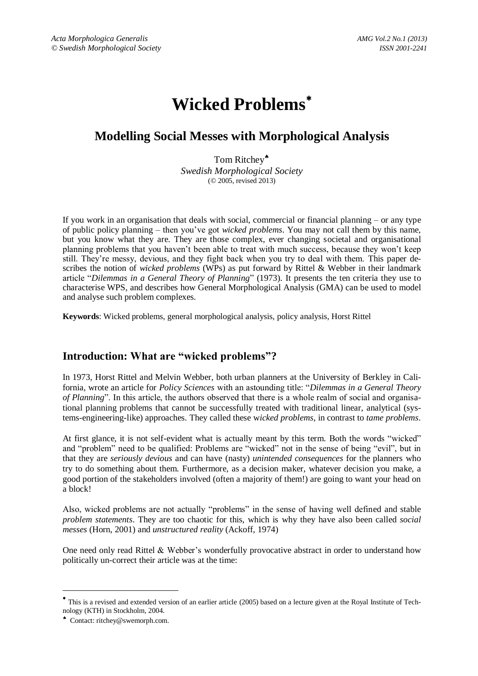# **Wicked Problems**

# **Modelling Social Messes with Morphological Analysis**

Tom Ritchey *Swedish Morphological Society* (© 2005, revised 2013)

If you work in an organisation that deals with social, commercial or financial planning – or any type of public policy planning – then you've got *wicked problems*. You may not call them by this name, but you know what they are. They are those complex, ever changing societal and organisational planning problems that you haven't been able to treat with much success, because they won't keep still. They're messy, devious, and they fight back when you try to deal with them. This paper describes the notion of *wicked problems* (WPs) as put forward by Rittel & Webber in their landmark article "*Dilemmas in a General Theory of Planning*" (1973). It presents the ten criteria they use to characterise WPS, and describes how General Morphological Analysis (GMA) can be used to model and analyse such problem complexes.

**Keywords**: Wicked problems, general morphological analysis, policy analysis, Horst Rittel

## **Introduction: What are "wicked problems"?**

In 1973, Horst Rittel and Melvin Webber, both urban planners at the University of Berkley in California, wrote an article for *Policy Sciences* with an astounding title: "*Dilemmas in a General Theory of Planning*". In this article, the authors observed that there is a whole realm of social and organisational planning problems that cannot be successfully treated with traditional linear, analytical (systems-engineering-like) approaches. They called these w*icked problems*, in contrast to *tame problems*.

At first glance, it is not self-evident what is actually meant by this term. Both the words "wicked" and "problem" need to be qualified: Problems are "wicked" not in the sense of being "evil", but in that they are *seriously devious* and can have (nasty) *unintended consequences* for the planners who try to do something about them. Furthermore, as a decision maker, whatever decision you make, a good portion of the stakeholders involved (often a majority of them!) are going to want your head on a block!

Also, wicked problems are not actually "problems" in the sense of having well defined and stable *problem statements*. They are too chaotic for this, which is why they have also been called *social messes* (Horn, 2001) and *unstructured reality* (Ackoff, 1974)

One need only read Rittel & Webber's wonderfully provocative abstract in order to understand how politically un-correct their article was at the time:

-

<sup>\*</sup> This is a revised and extended version of an earlier article (2005) based on a lecture given at the Royal Institute of Technology (KTH) in Stockholm, 2004.

Contact: ritchey@swemorph.com.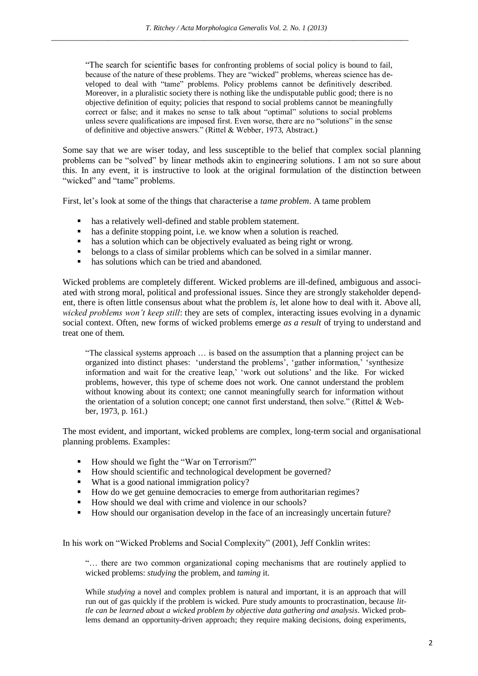"The search for scientific bases for confronting problems of social policy is bound to fail, because of the nature of these problems. They are "wicked" problems, whereas science has developed to deal with "tame" problems. Policy problems cannot be definitively described. Moreover, in a pluralistic society there is nothing like the undisputable public good; there is no objective definition of equity; policies that respond to social problems cannot be meaningfully correct or false; and it makes no sense to talk about "optimal" solutions to social problems unless severe qualifications are imposed first. Even worse, there are no "solutions" in the sense of definitive and objective answers." (Rittel & Webber, 1973, Abstract.)

Some say that we are wiser today, and less susceptible to the belief that complex social planning problems can be "solved" by linear methods akin to engineering solutions. I am not so sure about this. In any event, it is instructive to look at the original formulation of the distinction between "wicked" and "tame" problems.

First, let's look at some of the things that characterise a *tame problem*. A tame problem

- has a relatively well-defined and stable problem statement.
- has a definite stopping point, i.e. we know when a solution is reached.
- has a solution which can be objectively evaluated as being right or wrong.
- belongs to a class of similar problems which can be solved in a similar manner.
- has solutions which can be tried and abandoned.

Wicked problems are completely different. Wicked problems are ill-defined, ambiguous and associated with strong moral, political and professional issues. Since they are strongly stakeholder dependent, there is often little consensus about what the problem *is*, let alone how to deal with it. Above all, *wicked problems won't keep still*: they are sets of complex, interacting issues evolving in a dynamic social context. Often, new forms of wicked problems emerge *as a result* of trying to understand and treat one of them.

"The classical systems approach … is based on the assumption that a planning project can be organized into distinct phases: 'understand the problems', 'gather information,' 'synthesize information and wait for the creative leap,' 'work out solutions' and the like. For wicked problems, however, this type of scheme does not work. One cannot understand the problem without knowing about its context; one cannot meaningfully search for information without the orientation of a solution concept; one cannot first understand, then solve." (Rittel & Webber, 1973, p. 161.)

The most evident, and important, wicked problems are complex, long-term social and organisational planning problems. Examples:

- How should we fight the "War on Terrorism?"
- How should scientific and technological development be governed?
- What is a good national immigration policy?
- How do we get genuine democracies to emerge from authoritarian regimes?
- How should we deal with crime and violence in our schools?
- How should our organisation develop in the face of an increasingly uncertain future?

In his work on "Wicked Problems and Social Complexity" (2001), Jeff Conklin writes:

"… there are two common organizational coping mechanisms that are routinely applied to wicked problems: *studying* the problem, and *taming* it.

While *studying* a novel and complex problem is natural and important, it is an approach that will run out of gas quickly if the problem is wicked. Pure study amounts to procrastination, because *little can be learned about a wicked problem by objective data gathering and analysis*. Wicked problems demand an opportunity-driven approach; they require making decisions, doing experiments,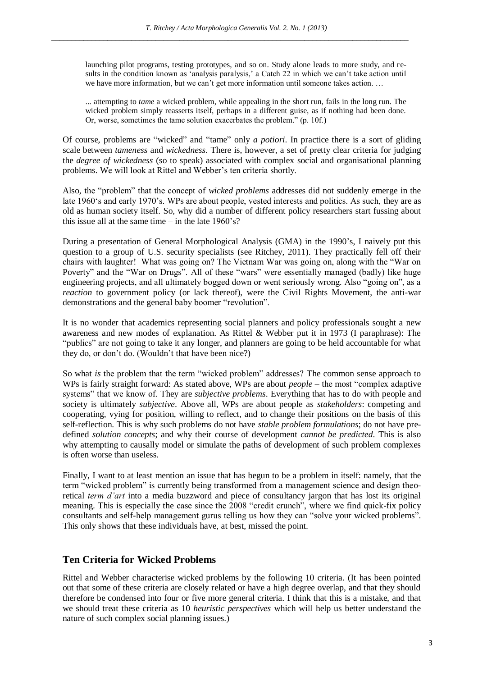launching pilot programs, testing prototypes, and so on. Study alone leads to more study, and results in the condition known as 'analysis paralysis,' a Catch 22 in which we can't take action until we have more information, but we can't get more information until someone takes action. …

... attempting to *tame* a wicked problem, while appealing in the short run, fails in the long run. The wicked problem simply reasserts itself, perhaps in a different guise, as if nothing had been done. Or, worse, sometimes the tame solution exacerbates the problem." (p. 10f.)

Of course, problems are "wicked" and "tame" only *a potiori*. In practice there is a sort of gliding scale between *tameness* and *wickedness*. There is, however, a set of pretty clear criteria for judging the *degree of wickedness* (so to speak) associated with complex social and organisational planning problems. We will look at Rittel and Webber's ten criteria shortly.

Also, the "problem" that the concept of *wicked problems* addresses did not suddenly emerge in the late 1960's and early 1970's. WPs are about people, vested interests and politics. As such, they are as old as human society itself. So, why did a number of different policy researchers start fussing about this issue all at the same time – in the late  $1960's$ ?

During a presentation of General Morphological Analysis (GMA) in the 1990's, I naively put this question to a group of U.S. security specialists (see Ritchey, 2011). They practically fell off their chairs with laughter! What was going on? The Vietnam War was going on, along with the "War on Poverty" and the "War on Drugs". All of these "wars" were essentially managed (badly) like huge engineering projects, and all ultimately bogged down or went seriously wrong. Also "going on", as a *reaction* to government policy (or lack thereof), were the Civil Rights Movement, the anti-war demonstrations and the general baby boomer "revolution".

It is no wonder that academics representing social planners and policy professionals sought a new awareness and new modes of explanation. As Rittel & Webber put it in 1973 (I paraphrase): The "publics" are not going to take it any longer, and planners are going to be held accountable for what they do, or don't do. (Wouldn't that have been nice?)

So what *is* the problem that the term "wicked problem" addresses? The common sense approach to WPs is fairly straight forward: As stated above, WPs are about *people* – the most "complex adaptive" systems" that we know of. They are *subjective problems*. Everything that has to do with people and society is ultimately *subjective*. Above all, WPs are about people as *stakeholders*: competing and cooperating, vying for position, willing to reflect, and to change their positions on the basis of this self-reflection. This is why such problems do not have *stable problem formulations*; do not have predefined *solution concepts*; and why their course of development *cannot be predicted*. This is also why attempting to causally model or simulate the paths of development of such problem complexes is often worse than useless.

Finally, I want to at least mention an issue that has begun to be a problem in itself: namely, that the term "wicked problem" is currently being transformed from a management science and design theoretical *term d'art* into a media buzzword and piece of consultancy jargon that has lost its original meaning. This is especially the case since the 2008 "credit crunch", where we find quick-fix policy consultants and self-help management gurus telling us how they can "solve your wicked problems". This only shows that these individuals have, at best, missed the point.

### **Ten Criteria for Wicked Problems**

Rittel and Webber characterise wicked problems by the following 10 criteria. (It has been pointed out that some of these criteria are closely related or have a high degree overlap, and that they should therefore be condensed into four or five more general criteria. I think that this is a mistake, and that we should treat these criteria as 10 *heuristic perspectives* which will help us better understand the nature of such complex social planning issues.)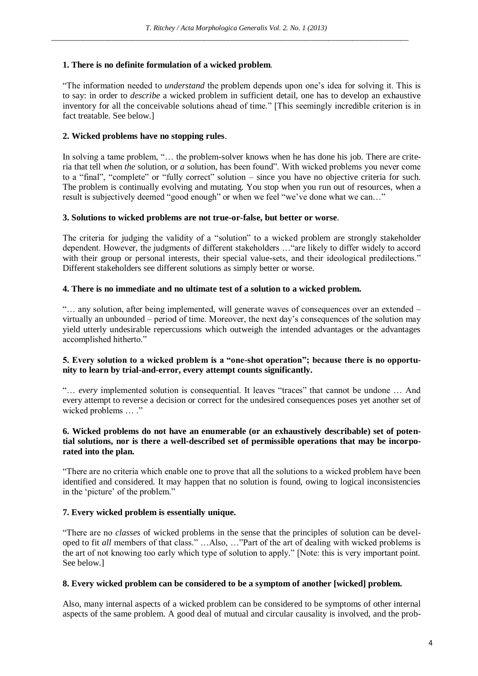#### **1. There is no definite formulation of a wicked problem**.

"The information needed to *understand* the problem depends upon one's idea for solving it. This is to say: in order to *describe* a wicked problem in sufficient detail, one has to develop an exhaustive inventory for all the conceivable solutions ahead of time." [This seemingly incredible criterion is in fact treatable. See below.]

#### **2. Wicked problems have no stopping rules**.

In solving a tame problem, "... the problem-solver knows when he has done his job. There are criteria that tell when *the* solution, or *a* solution, has been found". With wicked problems you never come to a "final", "complete" or "fully correct" solution – since you have no objective criteria for such. The problem is continually evolving and mutating. You stop when you run out of resources, when a result is subjectively deemed "good enough" or when we feel "we've done what we can…"

#### **3. Solutions to wicked problems are not true-or-false, but better or worse**.

The criteria for judging the validity of a "solution" to a wicked problem are strongly stakeholder dependent. However, the judgments of different stakeholders …"are likely to differ widely to accord with their group or personal interests, their special value-sets, and their ideological predilections." Different stakeholders see different solutions as simply better or worse.

#### **4. There is no immediate and no ultimate test of a solution to a wicked problem.**

"… any solution, after being implemented, will generate waves of consequences over an extended – virtually an unbounded – period of time. Moreover, the next day's consequences of the solution may yield utterly undesirable repercussions which outweigh the intended advantages or the advantages accomplished hitherto."

#### **5. Every solution to a wicked problem is a "one-shot operation"; because there is no opportunity to learn by trial-and-error, every attempt counts significantly.**

"… *every* implemented solution is consequential. It leaves "traces" that cannot be undone … And every attempt to reverse a decision or correct for the undesired consequences poses yet another set of wicked problems … ."

#### **6. Wicked problems do not have an enumerable (or an exhaustively describable) set of potential solutions, nor is there a well-described set of permissible operations that may be incorporated into the plan.**

"There are no criteria which enable one to prove that all the solutions to a wicked problem have been identified and considered. It may happen that no solution is found, owing to logical inconsistencies in the 'picture' of the problem."

#### **7. Every wicked problem is essentially unique.**

"There are no *classes* of wicked problems in the sense that the principles of solution can be developed to fit *all* members of that class." …Also, …"Part of the art of dealing with wicked problems is the art of not knowing too early which type of solution to apply." [Note: this is very important point. See below.]

#### **8. Every wicked problem can be considered to be a symptom of another [wicked] problem.**

Also, many internal aspects of a wicked problem can be considered to be symptoms of other internal aspects of the same problem. A good deal of mutual and circular causality is involved, and the prob-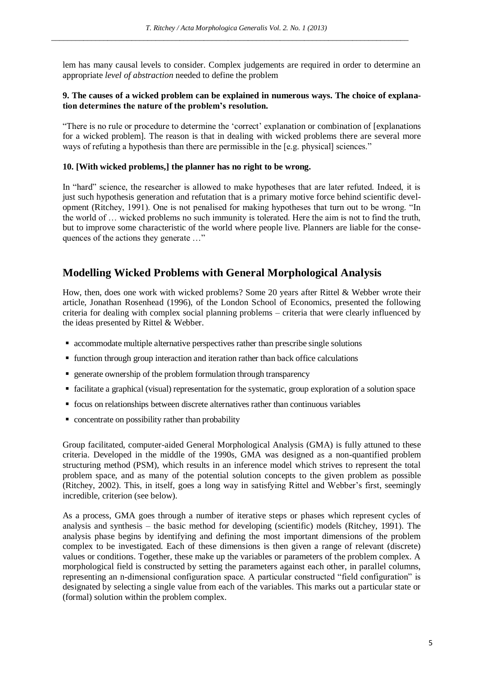lem has many causal levels to consider. Complex judgements are required in order to determine an appropriate *level of abstraction* needed to define the problem

#### **9. The causes of a wicked problem can be explained in numerous ways. The choice of explanation determines the nature of the problem's resolution.**

"There is no rule or procedure to determine the 'correct' explanation or combination of [explanations for a wicked problem]. The reason is that in dealing with wicked problems there are several more ways of refuting a hypothesis than there are permissible in the [e.g. physical] sciences."

#### **10. [With wicked problems,] the planner has no right to be wrong.**

In "hard" science, the researcher is allowed to make hypotheses that are later refuted. Indeed, it is just such hypothesis generation and refutation that is a primary motive force behind scientific development (Ritchey, 1991). One is not penalised for making hypotheses that turn out to be wrong. "In the world of … wicked problems no such immunity is tolerated. Here the aim is not to find the truth, but to improve some characteristic of the world where people live. Planners are liable for the consequences of the actions they generate …"

# **Modelling Wicked Problems with General Morphological Analysis**

How, then, does one work with wicked problems? Some 20 years after Rittel & Webber wrote their article, Jonathan Rosenhead (1996), of the London School of Economics, presented the following criteria for dealing with complex social planning problems – criteria that were clearly influenced by the ideas presented by Rittel & Webber.

- accommodate multiple alternative perspectives rather than prescribe single solutions
- function through group interaction and iteration rather than back office calculations
- **Example 3** generate ownership of the problem formulation through transparency
- facilitate a graphical (visual) representation for the systematic, group exploration of a solution space
- focus on relationships between discrete alternatives rather than continuous variables
- concentrate on possibility rather than probability

Group facilitated, computer-aided General Morphological Analysis (GMA) is fully attuned to these criteria. Developed in the middle of the 1990s, GMA was designed as a non-quantified problem structuring method (PSM), which results in an inference model which strives to represent the total problem space, and as many of the potential solution concepts to the given problem as possible (Ritchey, 2002). This, in itself, goes a long way in satisfying Rittel and Webber's first, seemingly incredible, criterion (see below).

As a process, GMA goes through a number of iterative steps or phases which represent cycles of analysis and synthesis – the basic method for developing (scientific) models (Ritchey, 1991). The analysis phase begins by identifying and defining the most important dimensions of the problem complex to be investigated. Each of these dimensions is then given a range of relevant (discrete) values or conditions. Together, these make up the variables or parameters of the problem complex. A morphological field is constructed by setting the parameters against each other, in parallel columns, representing an n-dimensional configuration space. A particular constructed "field configuration" is designated by selecting a single value from each of the variables. This marks out a particular state or (formal) solution within the problem complex.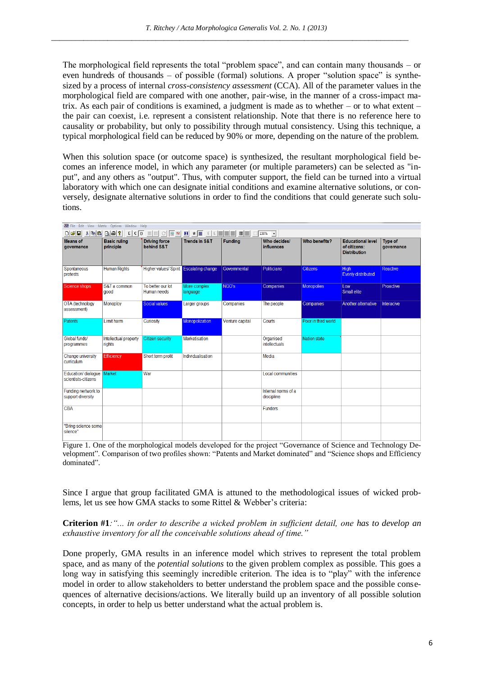The morphological field represents the total "problem space", and can contain many thousands – or even hundreds of thousands – of possible (formal) solutions. A proper "solution space" is synthesized by a process of internal *cross-consistency assessment* (CCA). All of the parameter values in the morphological field are compared with one another, pair-wise, in the manner of a cross-impact matrix. As each pair of conditions is examined, a judgment is made as to whether – or to what extent – the pair can coexist, i.e. represent a consistent relationship. Note that there is no reference here to causality or probability, but only to possibility through mutual consistency. Using this technique, a typical morphological field can be reduced by 90% or more, depending on the nature of the problem.

When this solution space (or outcome space) is synthesized, the resultant morphological field becomes an inference model, in which any parameter (or multiple parameters) can be selected as "input", and any others as "output". Thus, with computer support, the field can be turned into a virtual laboratory with which one can designate initial conditions and examine alternative solutions, or conversely, designate alternative solutions in order to find the conditions that could generate such solutions.

| File Edit View Matrix Options Window Help                                                                                                    |                                  |                                                |                          |                 |                                   |                     |                                                                 |                       |
|----------------------------------------------------------------------------------------------------------------------------------------------|----------------------------------|------------------------------------------------|--------------------------|-----------------|-----------------------------------|---------------------|-----------------------------------------------------------------|-----------------------|
| $\Box \circ \Box \quad \times \circ \Box \quad \Box \circ \Box \quad \times \circ \Box$<br><b>d * II</b> F F <b>III III III III</b> □ 150% ▼ |                                  |                                                |                          |                 |                                   |                     |                                                                 |                       |
| <b>Means of</b><br>qovernance                                                                                                                | <b>Basic ruling</b><br>principle | <b>Driving force</b><br>behind S&T             | <b>Trends in S&amp;T</b> | <b>Funding</b>  | Who decides/<br><b>influences</b> | Who benefits?       | <b>Educational level</b><br>of citizens:<br><b>Distribution</b> | Type of<br>qovernance |
| Spontaneous<br>protests                                                                                                                      | <b>Human Rights</b>              | <b>Higher values/ Spirit Escalating change</b> |                          | Governmental    | <b>Politicians</b>                | <b>Citizens</b>     | <b>High</b><br>Evenly distributed                               | <b>Reactive</b>       |
| Science shops                                                                                                                                | S&T a common<br>good             | To better our lot<br>Human needs               | More complex<br>language | NGO's           | Companies                         | <b>Monopolies</b>   | Low<br>Small elite                                              | Proactive             |
| OTA (technology<br>assessment)                                                                                                               | Monoploy                         | <b>Social values</b>                           | Larger groups            | Companies       | The people                        | Companies           | Another alternative                                             | Interacive            |
| Patents                                                                                                                                      | <b>Limit harm</b>                | Curiosity                                      | <b>Monopolization</b>    | Venture capital | Courts                            | Poor in third world |                                                                 |                       |
| <b>Global funds/</b><br>programmes                                                                                                           | Intellectual property<br>rights  | <b>Citizen security</b>                        | Marketisation            |                 | Organised<br>intellectuals        | <b>Nation state</b> |                                                                 |                       |
| Change university<br>curriculum                                                                                                              | Efficiency                       | Short term profit                              | Individualisation        |                 | Media                             |                     |                                                                 |                       |
| Education/ dialogue<br>scientists-citizens                                                                                                   | Market                           | War                                            |                          |                 | Local communities                 |                     |                                                                 |                       |
| Funding nertwork to<br>support diversity                                                                                                     |                                  |                                                |                          |                 | Internal norms of a<br>discipline |                     |                                                                 |                       |
| <b>CBA</b>                                                                                                                                   |                                  |                                                |                          |                 | <b>Funders</b>                    |                     |                                                                 |                       |
| "Bring science some<br>silence"                                                                                                              |                                  |                                                |                          |                 |                                   |                     |                                                                 |                       |

Figure 1. One of the morphological models developed for the project "Governance of Science and Technology Development". Comparison of two profiles shown: "Patents and Market dominated" and "Science shops and Efficiency dominated".

Since I argue that group facilitated GMA is attuned to the methodological issues of wicked problems, let us see how GMA stacks to some Rittel & Webber's criteria:

#### **Criterion #1***:"... in order to describe a wicked problem in sufficient detail, one has to develop an exhaustive inventory for all the conceivable solutions ahead of time."*

Done properly, GMA results in an inference model which strives to represent the total problem space, and as many of the *potential solutions* to the given problem complex as possible. This goes a long way in satisfying this seemingly incredible criterion. The idea is to "play" with the inference model in order to allow stakeholders to better understand the problem space and the possible consequences of alternative decisions/actions. We literally build up an inventory of all possible solution concepts, in order to help us better understand what the actual problem is.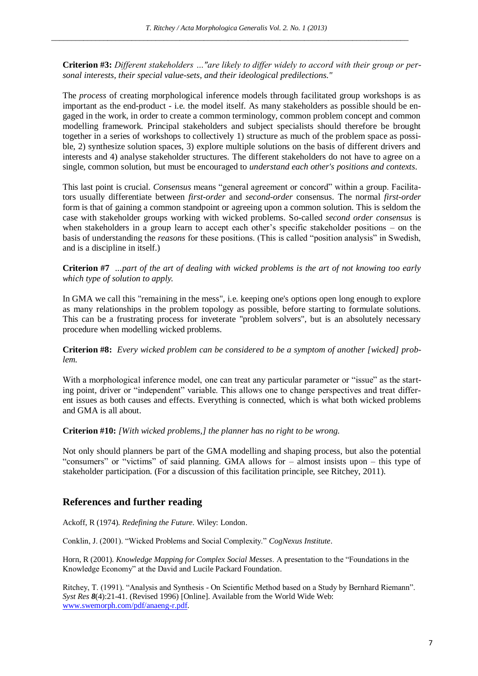**Criterion #3:** *Different stakeholders …"are likely to differ widely to accord with their group or personal interests, their special value-sets, and their ideological predilections."*

The *process* of creating morphological inference models through facilitated group workshops is as important as the end-product - i.e. the model itself. As many stakeholders as possible should be engaged in the work, in order to create a common terminology, common problem concept and common modelling framework. Principal stakeholders and subject specialists should therefore be brought together in a series of workshops to collectively 1) structure as much of the problem space as possible, 2) synthesize solution spaces, 3) explore multiple solutions on the basis of different drivers and interests and 4) analyse stakeholder structures. The different stakeholders do not have to agree on a single, common solution, but must be encouraged to *understand each other's positions and contexts*.

This last point is crucial. *Consensus* means "general agreement or concord" within a group. Facilitators usually differentiate between *first-order* and *second-order* consensus. The normal *first-order* form is that of gaining a common standpoint or agreeing upon a common solution. This is seldom the case with stakeholder groups working with wicked problems. So-called *second order consensus* is when stakeholders in a group learn to accept each other's specific stakeholder positions – on the basis of understanding the *reasons* for these positions. (This is called "position analysis" in Swedish, and is a discipline in itself.)

**Criterion #7** *...part of the art of dealing with wicked problems is the art of not knowing too early which type of solution to apply.*

In GMA we call this "remaining in the mess", i.e. keeping one's options open long enough to explore as many relationships in the problem topology as possible, before starting to formulate solutions. This can be a frustrating process for inveterate "problem solvers", but is an absolutely necessary procedure when modelling wicked problems.

**Criterion #8:** *Every wicked problem can be considered to be a symptom of another [wicked] problem.*

With a morphological inference model, one can treat any particular parameter or "issue" as the starting point, driver or "independent" variable. This allows one to change perspectives and treat different issues as both causes and effects. Everything is connected, which is what both wicked problems and GMA is all about.

**Criterion #10:** *[With wicked problems,] the planner has no right to be wrong.*

Not only should planners be part of the GMA modelling and shaping process, but also the potential "consumers" or "victims" of said planning. GMA allows for – almost insists upon – this type of stakeholder participation. (For a discussion of this facilitation principle, see Ritchey, 2011).

#### **References and further reading**

Ackoff, R (1974). *Redefining the Future.* Wiley: London.

Conklin, J. (2001). "Wicked Problems and Social Complexity." *CogNexus Institute*.

Horn, R (2001). *Knowledge Mapping for Complex Social Messes*. A presentation to the "Foundations in the Knowledge Economy" at the David and Lucile Packard Foundation.

Ritchey, T. (1991). "Analysis and Synthesis - On Scientific Method based on a Study by Bernhard Riemann". *Syst Res 8*(4):21-41. (Revised 1996) [Online]. Available from the World Wide Web: [www.swemorph.com/pdf/anaeng-r.pdf.](http://www.swemorph.com/pdf/anaeng-r.pdf)